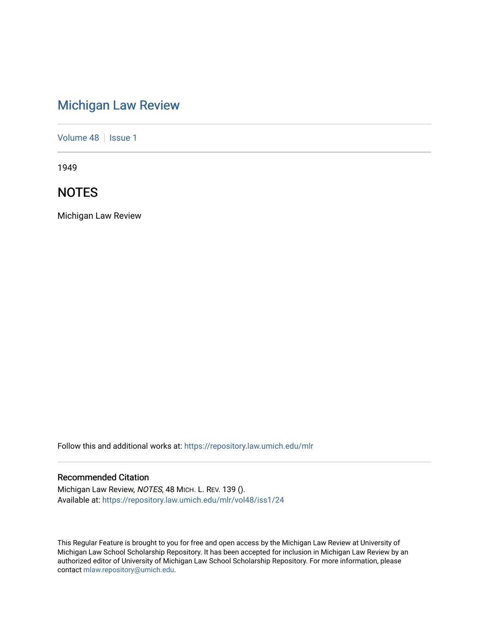# [Michigan Law Review](https://repository.law.umich.edu/mlr)

[Volume 48](https://repository.law.umich.edu/mlr/vol48) | [Issue 1](https://repository.law.umich.edu/mlr/vol48/iss1)

1949

# **NOTES**

Michigan Law Review

Follow this and additional works at: [https://repository.law.umich.edu/mlr](https://repository.law.umich.edu/mlr?utm_source=repository.law.umich.edu%2Fmlr%2Fvol48%2Fiss1%2F24&utm_medium=PDF&utm_campaign=PDFCoverPages) 

# Recommended Citation

Michigan Law Review, NOTES, 48 MICH. L. REV. 139 (). Available at: [https://repository.law.umich.edu/mlr/vol48/iss1/24](https://repository.law.umich.edu/mlr/vol48/iss1/24?utm_source=repository.law.umich.edu%2Fmlr%2Fvol48%2Fiss1%2F24&utm_medium=PDF&utm_campaign=PDFCoverPages) 

This Regular Feature is brought to you for free and open access by the Michigan Law Review at University of Michigan Law School Scholarship Repository. It has been accepted for inclusion in Michigan Law Review by an authorized editor of University of Michigan Law School Scholarship Repository. For more information, please contact [mlaw.repository@umich.edu](mailto:mlaw.repository@umich.edu).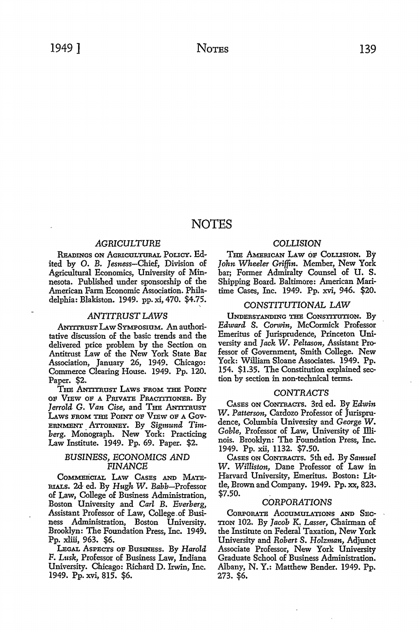# **NOTES**

# *AGRICULTURE*

Readings on Agricultural Policy. Edited by O. B. Jesness-Chief, Division of Agricultural Economics, University of Minnesota. Published under sponsorship of the American Farm Economic Association. Philadelphia: Blakiston. 1949. pp. xi, 470. \$4.75.

### *ANTITRUST LAWS*

.ANrrrnusT LAw SYMPOSIUM. An authoritative discussion of the basic trends and the delivered price problem by the Section on Antitrust Law of the New York State Bar Association, January 26, 1949. Chicago: Commerce Clearing House. 1949. Pp. 120. Paper. \$2.

THE ANTITRUST LAWS FROM THE POINT OF VIEW OF A PRIVATE PRACTITIONER. BY Jerrold G. Van Cise, and THE ANTITRUST LAWS FROM THE POINT OF VIEW OF A GOV-ERNMENT ATTORNEY. By *Sigmund Timberg.* Monograph. New York: Practicing Law Institute. 1949. Pp. 69. Paper. \$2.

# *BUSINESS,* ECONOMICS *AND FINANCE*

COMMERCIAL LAw CAsEs AND MATE-RIALS. 2d ed. By *Hugh W. Babb-Professor*  of Law, College of Business Administration, Boston University and *Carl* B. *Everberg,*  Assistant Professor of Law, College\_of Business Administration, Boston University. Brooklyn: The Foundation Press, Inc. 1949. Pp. xliii, 963. \$6.

LEGAL ASPECTS OF BusINEss. By *Harold*  F. *Lusk,* Professor of Business Law, Indiana University. Chicago: Richard D. Irwin, Inc. 1949. Pp. xvi, 815. \$6.

# COLLISION

THE AMERICAN LAW OF COLLISION. By *John Wheeler Griffin.* Member, New York bar; Former Admiralty Counsel of U. S. Shipping Board. Baltimore: American Maritime Cases, Inc. 1949. Pp. xvi, 946. \$20.

# *CONSTITUTIONAL LAW*

UNDERSTANDING THB CONSTITUTION. By *Edward S. Convin,* McCormick Professor Emeritus of Jurisprudence, Princeton University and *Jack W. Peltason,* Assistant Professor of Government, Smith College. New York: William Sloane Associates. 1949. Pp. 154. \$1.35. The Constitution explained section by section in non-technical terms.

#### *CONTRACTS*

CAsEs ON CONTRACTS. 3rd ed. By *Edwin W. Patterson,* Cardozo Professor of Jurisprudence, Columbia University and *George W. Goble,* Professor of Law, University of Illinois. Brooklyn: The Foundation Press, Inc. 1949. Pp. xii, 1132. \$7.50.

CAsEs ON CoNTRACTS. 5th ed. By *Samuel W. Williston,* Dane Professor of Law in Harvard University, Emeritus. Boston: Little, Brown and Company. 1949. Pp. xx, 823. \$7.50. .

# *CORPORATIONS*

CoRPORATE AccuMULATIONS AND SEcnoN 102. By *Jacob* K, *Lasser,* Chairman of the Institute on Federal Taxation, New York University and *Robert S. Holzman,* Adjunct Associate Professor, New York University Graduate School of Business Administration. Albany, N. Y.: Matthew Bender. 1949. Pp. 273. \$6.